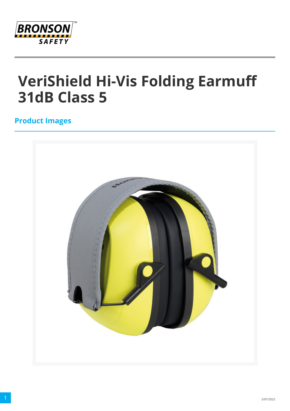

# **VeriShield Hi-Vis Folding Earmuff 31dB Class 5**

### **Product Images**

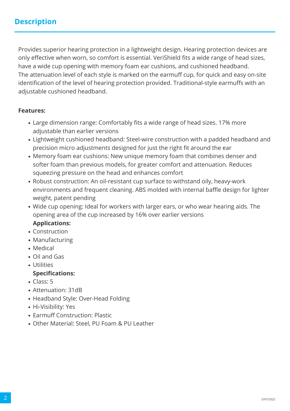Provides superior hearing protection in a lightweight design. Hearing protection devices are only effective when worn, so comfort is essential. VeriShield fits a wide range of head sizes, have a wide cup opening with memory foam ear cushions, and cushioned headband. The attenuation level of each style is marked on the earmuff cup, for quick and easy on-site identification of the level of hearing protection provided. Traditional-style earmuffs with an adjustable cushioned headband.

#### **Features:**

- Large dimension range: Comfortably fits a wide range of head sizes. 17% more adjustable than earlier versions
- Lightweight cushioned headband: Steel-wire construction with a padded headband and precision micro adjustments designed for just the right fit around the ear
- Memory foam ear cushions: New unique memory foam that combines denser and softer foam than previous models, for greater comfort and attenuation. Reduces squeezing pressure on the head and enhances comfort
- Robust construction: An oil-resistant cup surface to withstand oily, heavy-work environments and frequent cleaning. ABS molded with internal baffle design for lighter weight, patent pending
- Wide cup opening: Ideal for workers with larger ears, or who wear hearing aids. The opening area of the cup increased by 16% over earlier versions **Applications:**
- Construction
- Manufacturing
- Medical
- Oil and Gas
- Utilities

#### **Specifications:**

- Class: 5
- Attenuation: 31dB
- Headband Style: Over-Head Folding
- Hi-Visibility: Yes
- Earmuff Construction: Plastic
- Other Material: Steel, PU Foam & PU Leather